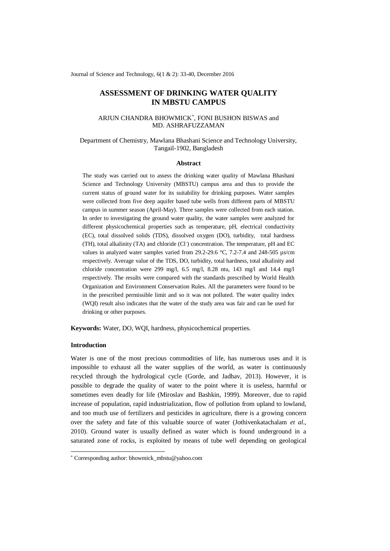Journal of Science and Technology, 6(1 & 2): 33-40, December 2016

# **ASSESSMENT OF DRINKING WATER QUALITY IN MBSTU CAMPUS**

# ARJUN CHANDRA BHOWMICK\* , FONI BUSHON BISWAS and MD. ASHRAFUZZAMAN

# Department of Chemistry, Mawlana Bhashani Science and Technology University, Tangail-1902, Bangladesh

#### **Abstract**

The study was carried out to assess the drinking water quality of Mawlana Bhashani Science and Technology University (MBSTU) campus area and thus to provide the current status of ground water for its suitability for drinking purposes. Water samples were collected from five deep aquifer based tube wells from different parts of MBSTU campus in summer season (April-May). Three samples were collected from each station. In order to investigating the ground water quality, the water samples were analyzed for different physicochemical properties such as temperature, pH, electrical conductivity (EC), total dissolved solids (TDS), dissolved oxygen (DO), turbidity, total hardness (TH), total alkalinity (TA) and chloride (Cl- ) concentration. The temperature, pH and EC values in analyzed water samples varied from 29.2-29.6 °C, 7.2-7.4 and 248-505 µs/cm respectively. Average value of the TDS, DO, turbidity, total hardness, total alkalinity and chloride concentration were 299 mg/l, 6.5 mg/l, 8.28 ntu, 143 mg/l and 14.4 mg/l respectively. The results were compared with the standards prescribed by World Health Organization and Environment Conservation Rules. All the parameters were found to be in the prescribed permissible limit and so it was not polluted. The water quality index (WQI) result also indicates that the water of the study area was fair and can be used for drinking or other purposes.

**Keywords:** Water, DO, WQI, hardness, physicochemical properties.

# **Introduction**

-

Water is one of the most precious commodities of life, has numerous uses and it is impossible to exhaust all the water supplies of the world, as water is continuously recycled through the hydrological cycle (Gorde, and Jadhav, 2013). However, it is possible to degrade the quality of water to the point where it is useless, harmful or sometimes even deadly for life (Miroslav and Bashkin, 1999). Moreover, due to rapid increase of population, rapid industrialization, flow of pollution from upland to lowland, and too much use of fertilizers and pesticides in agriculture, there is a growing concern over the safety and fate of this valuable source of water (Jothivenkatachalam *et al*., 2010). Ground water is usually defined as water which is found underground in a saturated zone of rocks, is exploited by means of tube well depending on geological

<sup>\*</sup> Corresponding author: bhowmick\_mbstu@yahoo.com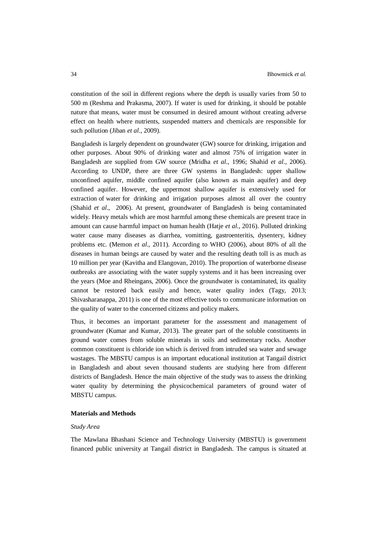constitution of the soil in different regions where the depth is usually varies from 50 to 500 m (Reshma and Prakasma, 2007). If water is used for drinking, it should be potable nature that means, water must be consumed in desired amount without creating adverse effect on health where nutrients, suspended matters and chemicals are responsible for such pollution (Jiban *et al*., 2009).

Bangladesh is largely dependent on groundwater (GW) source for drinking, irrigation and other purposes. About 90% of drinking water and almost 75% of irrigation water in Bangladesh are supplied from GW source (Mridha *et al*., 1996; Shahid *et al*., 2006). According to UNDP, there are three GW systems in Bangladesh: upper shallow unconfined aquifer, middle confined aquifer (also known as main aquifer) and deep confined aquifer. However, the uppermost shallow aquifer is extensively used for extraction of water for drinking and irrigation purposes almost all over the country (Shahid *et al*., 2006). At present, groundwater of Bangladesh is being contaminated widely. Heavy metals which are most harmful among these chemicals are present trace in amount can cause harmful impact on human health (Hatje *et al*., 2016). Polluted drinking water cause many diseases as diarrhea, vomitting, gastroenteritis, dysentery, kidney problems etc. (Memon *et al*., 2011). According to WHO (2006), about 80% of all the diseases in human beings are caused by water and the resulting death toll is as much as 10 million per year (Kavitha and Elangovan, 2010). The proportion of waterborne disease outbreaks are associating with the water supply systems and it has been increasing over the years (Moe and Rheingans, 2006). Once the groundwater is contaminated, its quality cannot be restored back easily and hence, water quality index (Tagy, 2013; Shivasharanappa, 2011) is one of the most effective tools to communicate information on the quality of water to the concerned citizens and policy makers.

Thus, it becomes an important parameter for the assessment and management of groundwater (Kumar and Kumar, 2013). The greater part of the soluble constituents in ground water comes from soluble minerals in soils and sedimentary rocks. Another common constituent is chloride ion which is derived from intruded sea water and sewage wastages. The MBSTU campus is an important educational institution at Tangail district in Bangladesh and about seven thousand students are studying here from different districts of Bangladesh. Hence the main objective of the study was to assess the drinking water quality by determining the physicochemical parameters of ground water of MBSTU campus.

# **Materials and Methods**

#### *Study Area*

The Mawlana Bhashani Science and Technology University (MBSTU) is government financed public university at Tangail district in Bangladesh. The campus is situated at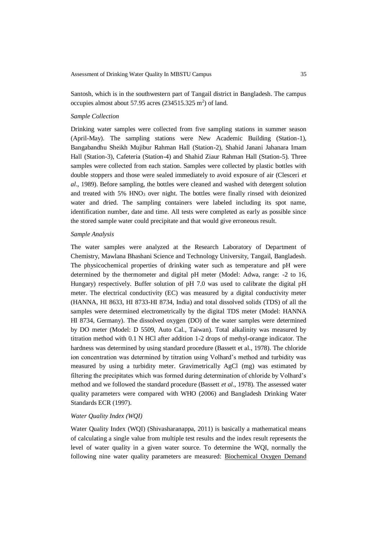Santosh, which is in the southwestern part of Tangail district in Bangladesh. The campus occupies almost about 57.95 acres  $(234515.325 \text{ m}^2)$  of land.

#### *Sample Collection*

Drinking water samples were collected from five sampling stations in summer season (April-May). The sampling stations were New Academic Building (Station-1), Bangabandhu Sheikh Mujibur Rahman Hall (Station-2), Shahid Janani Jahanara Imam Hall (Station-3), Cafeteria (Station-4) and Shahid Ziaur Rahman Hall (Station-5). Three samples were collected from each station. Samples were collected by plastic bottles with double stoppers and those were sealed immediately to avoid exposure of air (Clesceri *et al*., 1989). Before sampling, the bottles were cleaned and washed with detergent solution and treated with  $5\%$  HNO<sub>3</sub> over night. The bottles were finally rinsed with deionized water and dried. The sampling containers were labeled including its spot name, identification number, date and time. All tests were completed as early as possible since the stored sample water could precipitate and that would give erroneous result.

### *Sample Analysis*

The water samples were analyzed at the Research Laboratory of Department of Chemistry, Mawlana Bhashani Science and Technology University, Tangail, Bangladesh. The physicochemical properties of drinking water such as temperature and pH were determined by the thermometer and digital pH meter (Model: Adwa, range: -2 to 16, Hungary) respectively. Buffer solution of pH 7.0 was used to calibrate the digital pH meter. The electrical conductivity (EC) was measured by a digital conductivity meter (HANNA, HI 8633, HI 8733-HI 8734, India) and total dissolved solids (TDS) of all the samples were determined electrometrically by the digital TDS meter (Model: HANNA HI 8734, Germany). The dissolved oxygen (DO) of the water samples were determined by DO meter (Model: D 5509, Auto Cal., Taiwan). Total alkalinity was measured by titration method with 0.1 N HCl after addition 1-2 drops of methyl-orange indicator. The hardness was determined by using standard procedure (Bassett et al., 1978). The chloride ion concentration was determined by titration using Volhard's method and turbidity was measured by using a turbidity meter. Gravimetrically AgCl (mg) was estimated by filtering the precipitates which was formed during determination of chloride by Volhard's method and we followed the standard procedure (Bassett *et al*., 1978). The assessed water quality parameters were compared with WHO (2006) and Bangladesh Drinking Water Standards ECR (1997).

### *Water Quality Index (WQI)*

Water Quality Index (WQI) (Shivasharanappa, 2011) is basically a mathematical means of calculating a single value from multiple test results and the index result represents the level of water quality in a given water source. To determine the WQI, normally the following nine water quality parameters are measured: [Biochemical Oxygen Demand](http://www.pathfinderscience.net/stream/forms/WQI_BOD.pdf)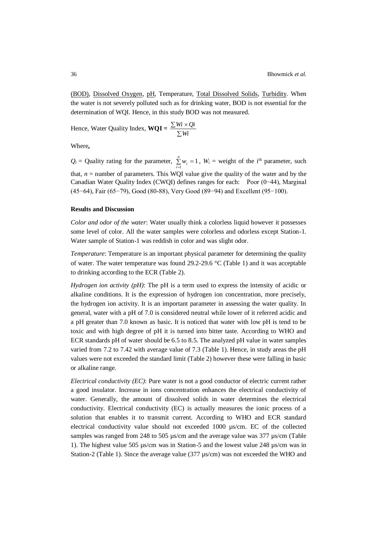[\(BOD\),](http://www.pathfinderscience.net/stream/forms/WQI_BOD.pdf) [Dissolved Oxygen,](http://www.pathfinderscience.net/stream/forms/WQI_DO.pdf) [pH,](http://www.pathfinderscience.net/stream/forms/WQI_pH.pdf) Temperature, [Total Dissolved Solids,](http://www.pathfinderscience.net/stream/forms/WQI_DS.pdf) [Turbidity.](http://www.pathfinderscience.net/stream/forms/WQI_Turb.pdf) When the water is not severely polluted such as for drinking water, BOD is not essential for the determination of WQI. Hence, in this study BOD was not measured.

Hence, Water Quality Index,  $WQI = \frac{\sum m_i}{\sum_{i=1}^{N} P_i}$  $\sum Wi$   $\times$ *Wi Wi Qi*

Where**,**

 $Q_i$  = Quality rating for the parameter,  $\sum_{i=1} w_i$  = *n*  $\sum_{i=1}^{n} w_i = 1$ ,  $W_i$  = weight of the i<sup>th</sup> parameter, such that,  $n =$  number of parameters. This WQI value give the quality of the water and by the Canadian Water Quality Index (CWQI) defines ranges for each: Poor (0−44), Marginal (45−64), Fair (65−79), Good (80-88), Very Good (89−94) and Excellent (95−100).

### **Results and Discussion**

*Color and odor of the water*: Water usually think a colorless liquid however it possesses some level of color. All the water samples were colorless and odorless except Station-1. Water sample of Station-1 was reddish in color and was slight odor.

*Temperature*: Temperature is an important physical parameter for determining the quality of water. The water temperature was found 29.2-29.6 °C (Table 1) and it was acceptable to drinking according to the ECR (Table 2).

*Hydrogen ion activity (pH)*: The pH is a term used to express the intensity of acidic or alkaline conditions. It is the expression of hydrogen ion concentration, more precisely, the hydrogen ion activity. It is an important parameter in assessing the water quality. In general, water with a pH of 7.0 is considered neutral while lower of it referred acidic and a pH greater than 7.0 known as basic. It is noticed that water with low pH is tend to be toxic and with high degree of pH it is turned into bitter taste. According to WHO and ECR standards pH of water should be 6.5 to 8.5. The analyzed pH value in water samples varied from 7.2 to 7.42 with average value of 7.3 (Table 1). Hence, in study areas the pH values were not exceeded the standard limit (Table 2) however these were falling in basic or alkaline range.

*Electrical conductivity (EC)*: Pure water is not a good conductor of electric current rather a good insulator. Increase in ions concentration enhances the electrical conductivity of water. Generally, the amount of dissolved solids in water determines the electrical conductivity. Electrical conductivity (EC) is actually measures the ionic process of a solution that enables it to transmit current. According to WHO and ECR standard electrical conductivity value should not exceeded 1000 µs/cm. EC of the collected samples was ranged from 248 to 505 µs/cm and the average value was 377 µs/cm (Table 1). The highest value 505 µs/cm was in Station-5 and the lowest value 248 µs/cm was in Station-2 (Table 1). Since the average value (377 µs/cm) was not exceeded the WHO and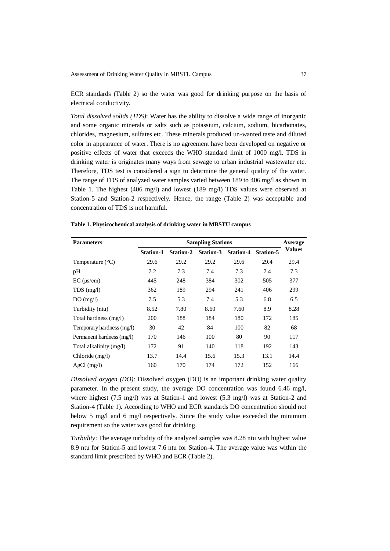ECR standards (Table 2) so the water was good for drinking purpose on the basis of electrical conductivity.

*Total dissolved solids (TDS)*: Water has the ability to dissolve a wide range of inorganic and some organic minerals or salts such as potassium, calcium, sodium, bicarbonates, chlorides, magnesium, sulfates etc. These minerals produced un-wanted taste and diluted color in appearance of water. There is no agreement have been developed on negative or positive effects of water that exceeds the WHO standard limit of 1000 mg/l. TDS in drinking water is originates many ways from sewage to urban industrial wastewater etc. Therefore, TDS test is considered a sign to determine the general quality of the water. The range of TDS of analyzed water samples varied between 189 to 406 mg/l as shown in Table 1. The highest (406 mg/l) and lowest (189 mg/l) TDS values were observed at Station-5 and Station-2 respectively. Hence, the range (Table 2) was acceptable and concentration of TDS is not harmful.

|  |  | Table 1. Physicochemical analysis of drinking water in MBSTU campus |
|--|--|---------------------------------------------------------------------|
|--|--|---------------------------------------------------------------------|

| <b>Parameters</b>         | <b>Sampling Stations</b> |                  |           |                  | Average          |        |
|---------------------------|--------------------------|------------------|-----------|------------------|------------------|--------|
|                           | <b>Station-1</b>         | <b>Station-2</b> | Station-3 | <b>Station-4</b> | <b>Station-5</b> | Values |
| Temperature $(^{\circ}C)$ | 29.6                     | 29.2             | 29.2      | 29.6             | 29.4             | 29.4   |
| pH                        | 7.2                      | 7.3              | 7.4       | 7.3              | 7.4              | 7.3    |
| $EC$ ( $\mu s/cm$ )       | 445                      | 248              | 384       | 302              | 505              | 377    |
| $TDS$ (mg/l)              | 362                      | 189              | 294       | 241              | 406              | 299    |
| DO(mg/l)                  | 7.5                      | 5.3              | 7.4       | 5.3              | 6.8              | 6.5    |
| Turbidity (ntu)           | 8.52                     | 7.80             | 8.60      | 7.60             | 8.9              | 8.28   |
| Total hardness (mg/l)     | 200                      | 188              | 184       | 180              | 172              | 185    |
| Temporary hardness (mg/l) | 30                       | 42               | 84        | 100              | 82               | 68     |
| Permanent hardness (mg/l) | 170                      | 146              | 100       | 80               | 90               | 117    |
| Total alkalinity (mg/l)   | 172                      | 91               | 140       | 118              | 192              | 143    |
| Chloride (mg/l)           | 13.7                     | 14.4             | 15.6      | 15.3             | 13.1             | 14.4   |
| $AgCl$ (mg/l)             | 160                      | 170              | 174       | 172              | 152              | 166    |

*Dissolved oxygen (DO)*: Dissolved oxygen (DO) is an important drinking water quality parameter. In the present study, the average DO concentration was found 6.46 mg/l, where highest  $(7.5 \text{ mg/l})$  was at Station-1 and lowest  $(5.3 \text{ mg/l})$  was at Station-2 and Station-4 (Table 1). According to WHO and ECR standards DO concentration should not below 5 mg/l and 6 mg/l respectively. Since the study value exceeded the minimum requirement so the water was good for drinking.

*Turbidity*: The average turbidity of the analyzed samples was 8.28 ntu with highest value 8.9 ntu for Station-5 and lowest 7.6 ntu for Station-4. The average value was within the standard limit prescribed by WHO and ECR (Table 2).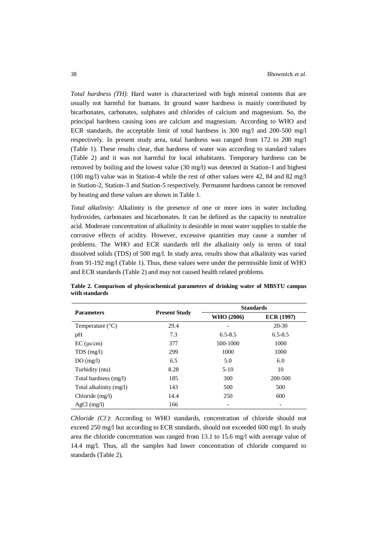*Total hardness (TH)*: Hard water is characterized with high mineral contents that are usually not harmful for humans. In ground water hardness is mainly contributed by bicarbonates, carbonates, sulphates and chlorides of calcium and magnesium. So, the principal hardness causing ions are calcium and magnesium. According to WHO and ECR standards, the acceptable limit of total hardness is 300 mg/l and 200-500 mg/l respectively. In present study area, total hardness was ranged from 172 to 200 mg/l (Table 1). These results clear, that hardness of water was according to standard values (Table 2) and it was not harmful for local inhabitants. Temporary hardness can be removed by boiling and the lowest value (30 mg/l) was detected in Station-1 and highest (100 mg/l) value was in Station-4 while the rest of other values were 42, 84 and 82 mg/l in Station-2, Station-3 and Station-5 respectively. Permanent hardness cannot be removed by heating and these values are shown in Table 1.

*Total alkalinity*: Alkalinity is the presence of one or more ions in water including hydroxides, carbonates and bicarbonates. It can be defined as the capacity to neutralize acid. Moderate concentration of alkalinity is desirable in most water supplies to stable the corrosive effects of acidity. However, excessive quantities may cause a number of problems. The WHO and ECR standards tell the alkalinity only in terms of total dissolved solids (TDS) of 500 mg/l. In study area, results show that alkalinity was varied from 91-192 mg/l (Table 1). Thus, these values were under the permissible limit of WHO and ECR standards (Table 2) and may not caused health related problems.

| <b>Parameters</b>         |                      | <b>Standards</b> |                   |  |
|---------------------------|----------------------|------------------|-------------------|--|
|                           | <b>Present Study</b> | WHO (2006)       | <b>ECR (1997)</b> |  |
| Temperature $(^{\circ}C)$ | 29.4                 |                  | $20 - 30$         |  |
| pH                        | 7.3                  | $6.5 - 8.5$      | $6.5 - 8.5$       |  |
| $EC$ ( $\mu s/cm$ )       | 377                  | 500-1000         | 1000              |  |
| $TDS$ (mg/l)              | 299                  | 1000             | 1000              |  |
| DO(mg/l)                  | 6.5                  | 5.0              | 6.0               |  |
| Turbidity (ntu)           | 8.28                 | $5-10$           | 10                |  |
| Total hardness (mg/l)     | 185                  | 300              | 200-500           |  |
| Total alkalinity (mg/l)   | 143                  | 500              | 500               |  |
| Chloride (mg/l)           | 14.4                 | 250              | 600               |  |
| $AgCl$ (mg/l)             | 166                  |                  |                   |  |

**Table 2. Comparison of physicochemical parameters of drinking water of MBSTU campus with standards**

*Chloride (Cl- )*: According to WHO standards, concentration of chloride should not exceed 250 mg/l but according to ECR standards, should not exceeded 600 mg/l. In study area the chloride concentration was ranged from 13.1 to 15.6 mg/l with average value of 14.4 mg/l. Thus, all the samples had lower concentration of chloride compared to standards (Table 2).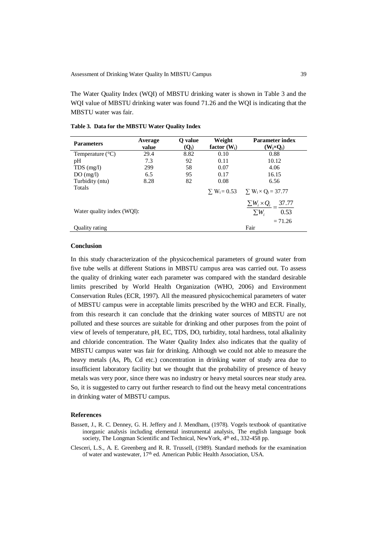The Water Quality Index (WQI) of MBSTU drinking water is shown in Table 3 and the WQI value of MBSTU drinking water was found 71.26 and the WQI is indicating that the MBSTU water was fair.

| <b>Parameters</b>          | Average<br>value | O value<br>$(Q_i)$ | Weight<br>factor $(W_i)$ | <b>Parameter index</b><br>$(W_i \times Q_i)$                                           |  |
|----------------------------|------------------|--------------------|--------------------------|----------------------------------------------------------------------------------------|--|
| Temperature $(^{\circ}C)$  | 29.4             | 8.82               | 0.10                     | 0.88                                                                                   |  |
| pH                         | 7.3              | 92                 | 0.11                     | 10.12                                                                                  |  |
| $TDS$ (mg/l)               | 299              | 58                 | 0.07                     | 4.06                                                                                   |  |
| DO(mg/l)                   | 6.5              | 95                 | 0.17                     | 16.15                                                                                  |  |
| Turbidity (ntu)            | 8.28             | 82                 | 0.08                     | 6.56                                                                                   |  |
| Totals                     |                  |                    |                          | $\Sigma$ W <sub>i</sub> = 0.53 $\Sigma$ W <sub>i</sub> $\times$ Q <sub>i</sub> = 37.77 |  |
| Water quality index (WQI): |                  |                    |                          | $\sum W_i \times Q_i = 37.77$<br>0.53<br>$\sum W_i$                                    |  |
| <b>Ouality rating</b>      |                  |                    |                          | $= 71.26$<br>Fair                                                                      |  |

**Table 3. Data for the MBSTU Water Quality Index**

## **Conclusion**

In this study characterization of the physicochemical parameters of ground water from five tube wells at different Stations in MBSTU campus area was carried out. To assess the quality of drinking water each parameter was compared with the standard desirable limits prescribed by World Health Organization (WHO, 2006) and Environment Conservation Rules (ECR, 1997). All the measured physicochemical parameters of water of MBSTU campus were in acceptable limits prescribed by the WHO and ECR. Finally, from this research it can conclude that the drinking water sources of MBSTU are not polluted and these sources are suitable for drinking and other purposes from the point of view of levels of temperature, pH, EC, TDS, DO, turbidity, total hardness, total alkalinity and chloride concentration. The Water Quality Index also indicates that the quality of MBSTU campus water was fair for drinking. Although we could not able to measure the heavy metals (As, Pb, Cd etc.) concentration in drinking water of study area due to insufficient laboratory facility but we thought that the probability of presence of heavy metals was very poor, since there was no industry or heavy metal sources near study area. So, it is suggested to carry out further research to find out the heavy metal concentrations in drinking water of MBSTU campus.

### **References**

- Bassett, J., R. C. Denney, G. H. Jeffery and J. Mendham, (1978). Vogels textbook of quantitative inorganic analysis including elemental instrumental analysis, The english language book society, The Longman Scientific and Technical, NewYork, 4<sup>th</sup> ed., 332-458 pp.
- Clesceri, L.S., A. E. Greenberg and R. R. Trussell, (1989). Standard methods for the examination of water and wastewater,  $17<sup>th</sup>$  ed. American Public Health Association, USA.